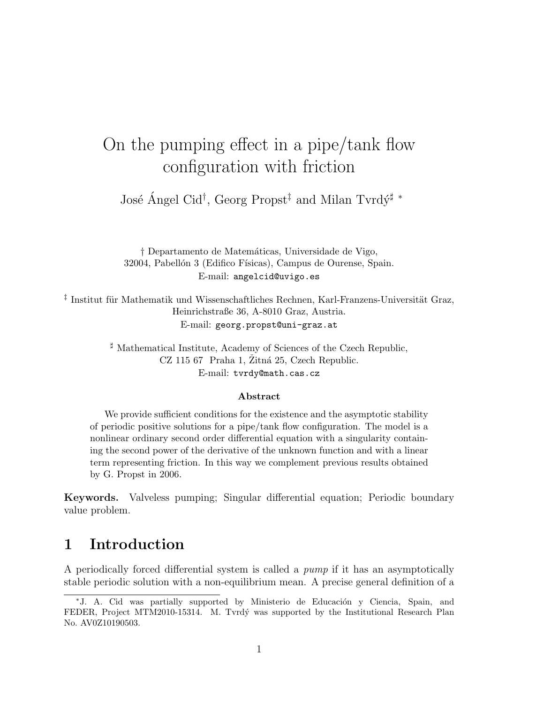# On the pumping effect in a pipe/tank flow configuration with friction

José Ángel Cid<sup>†</sup>, Georg Propst<sup>‡</sup> and Milan Tvrdý<sup>#</sup> <sup>\*</sup>

† Departamento de Matem´aticas, Universidade de Vigo, 32004, Pabellón 3 (Edifico Físicas), Campus de Ourense, Spain. E-mail: angelcid@uvigo.es

<sup>‡</sup> Institut für Mathematik und Wissenschaftliches Rechnen, Karl-Franzens-Universität Graz, Heinrichstraße 36, A-8010 Graz, Austria. E-mail: georg.propst@uni-graz.at

> $\sharp$  Mathematical Institute, Academy of Sciences of the Czech Republic,  $CZ$  115 67 Praha 1,  $\ddot{Z}$ itná 25, Czech Republic. E-mail: tvrdy@math.cas.cz

#### Abstract

We provide sufficient conditions for the existence and the asymptotic stability of periodic positive solutions for a pipe/tank flow configuration. The model is a nonlinear ordinary second order differential equation with a singularity containing the second power of the derivative of the unknown function and with a linear term representing friction. In this way we complement previous results obtained by G. Propst in 2006.

Keywords. Valveless pumping; Singular differential equation; Periodic boundary value problem.

# 1 Introduction

A periodically forced differential system is called a pump if it has an asymptotically stable periodic solution with a non-equilibrium mean. A precise general definition of a

<sup>\*</sup>J. A. Cid was partially supported by Ministerio de Educación y Ciencia, Spain, and FEDER, Project MTM2010-15314. M. Tvrdý was supported by the Institutional Research Plan No. AV0Z10190503.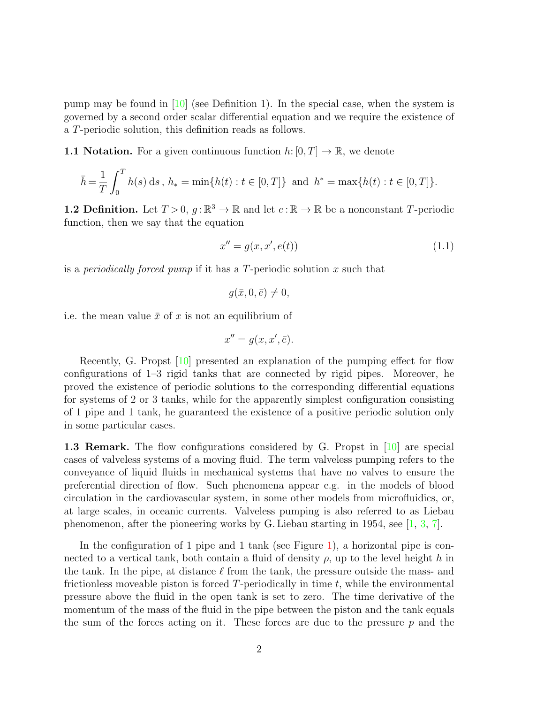pump may be found in [\[10\]](#page-13-0) (see Definition 1). In the special case, when the system is governed by a second order scalar differential equation and we require the existence of a T-periodic solution, this definition reads as follows.

<span id="page-1-2"></span>**1.1 Notation.** For a given continuous function  $h: [0, T] \to \mathbb{R}$ , we denote

$$
\bar{h} = \frac{1}{T} \int_0^T h(s) \, ds \, , \, h_* = \min\{h(t) : t \in [0, T]\} \text{ and } h^* = \max\{h(t) : t \in [0, T]\}.
$$

**1.2 Definition.** Let  $T > 0$ ,  $g : \mathbb{R}^3 \to \mathbb{R}$  and let  $e : \mathbb{R} \to \mathbb{R}$  be a nonconstant T-periodic function, then we say that the equation

<span id="page-1-1"></span>
$$
x'' = g(x, x', e(t))
$$
\n(1.1)

is a *periodically forced pump* if it has a T-periodic solution x such that

$$
g(\bar{x},0,\bar{e})\neq 0,
$$

i.e. the mean value  $\bar{x}$  of x is not an equilibrium of

$$
x'' = g(x, x', \bar{e}).
$$

Recently, G. Propst [\[10\]](#page-13-0) presented an explanation of the pumping effect for flow configurations of 1–3 rigid tanks that are connected by rigid pipes. Moreover, he proved the existence of periodic solutions to the corresponding differential equations for systems of 2 or 3 tanks, while for the apparently simplest configuration consisting of 1 pipe and 1 tank, he guaranteed the existence of a positive periodic solution only in some particular cases.

<span id="page-1-0"></span>1.3 Remark. The flow configurations considered by G. Propst in [\[10\]](#page-13-0) are special cases of valveless systems of a moving fluid. The term valveless pumping refers to the conveyance of liquid fluids in mechanical systems that have no valves to ensure the preferential direction of flow. Such phenomena appear e.g. in the models of blood circulation in the cardiovascular system, in some other models from microfluidics, or, at large scales, in oceanic currents. Valveless pumping is also referred to as Liebau phenomenon, after the pioneering works by G. Liebau starting in 1954, see [\[1,](#page-12-0) [3,](#page-12-1) [7\]](#page-13-1).

In the configuration of 1 pipe and 1 tank (see Figure [1\)](#page-1-0), a horizontal pipe is connected to a vertical tank, both contain a fluid of density  $\rho$ , up to the level height h in the tank. In the pipe, at distance  $\ell$  from the tank, the pressure outside the mass- and frictionless moveable piston is forced  $T$ -periodically in time  $t$ , while the environmental pressure above the fluid in the open tank is set to zero. The time derivative of the momentum of the mass of the fluid in the pipe between the piston and the tank equals the sum of the forces acting on it. These forces are due to the pressure  $p$  and the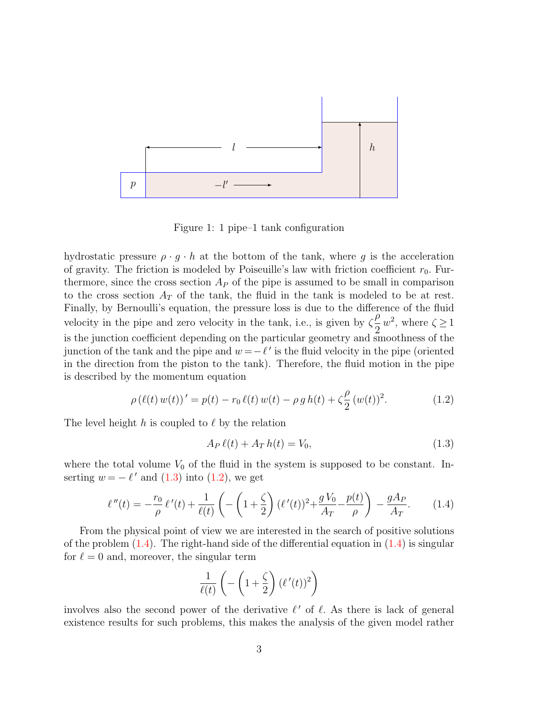

Figure 1: 1 pipe–1 tank configuration

hydrostatic pressure  $\rho \cdot g \cdot h$  at the bottom of the tank, where g is the acceleration of gravity. The friction is modeled by Poiseuille's law with friction coefficient  $r_0$ . Furthermore, since the cross section  $A_P$  of the pipe is assumed to be small in comparison to the cross section  $A_T$  of the tank, the fluid in the tank is modeled to be at rest. Finally, by Bernoulli's equation, the pressure loss is due to the difference of the fluid velocity in the pipe and zero velocity in the tank, i.e., is given by  $\zeta$ ρ 2  $w^2$ , where  $\zeta \geq 1$ is the junction coefficient depending on the particular geometry and smoothness of the junction of the tank and the pipe and  $w = -\ell'$  is the fluid velocity in the pipe (oriented in the direction from the piston to the tank). Therefore, the fluid motion in the pipe is described by the momentum equation

<span id="page-2-1"></span>
$$
\rho\left(\ell(t)\,w(t)\right)' = p(t) - r_0\,\ell(t)\,w(t) - \rho\,g\,h(t) + \zeta\frac{\rho}{2}\,(w(t))^2. \tag{1.2}
$$

The level height h is coupled to  $\ell$  by the relation

<span id="page-2-0"></span>
$$
A_P \ell(t) + A_T h(t) = V_0,
$$
\n(1.3)

where the total volume  $V_0$  of the fluid in the system is supposed to be constant. Inserting  $w = -\ell'$  and [\(1.3\)](#page-2-0) into [\(1.2\)](#page-2-1), we get

<span id="page-2-2"></span>
$$
\ell''(t) = -\frac{r_0}{\rho} \ell'(t) + \frac{1}{\ell(t)} \left( -\left(1 + \frac{\zeta}{2}\right) (\ell'(t))^2 + \frac{gV_0}{A_T} - \frac{p(t)}{\rho} \right) - \frac{gA_P}{A_T}.\tag{1.4}
$$

From the physical point of view we are interested in the search of positive solutions of the problem  $(1.4)$ . The right-hand side of the differential equation in  $(1.4)$  is singular for  $\ell = 0$  and, moreover, the singular term

$$
\frac{1}{\ell(t)} \left( -\left(1+\frac{\zeta}{2}\right) (\ell'(t))^2 \right)
$$

involves also the second power of the derivative  $\ell'$  of  $\ell$ . As there is lack of general existence results for such problems, this makes the analysis of the given model rather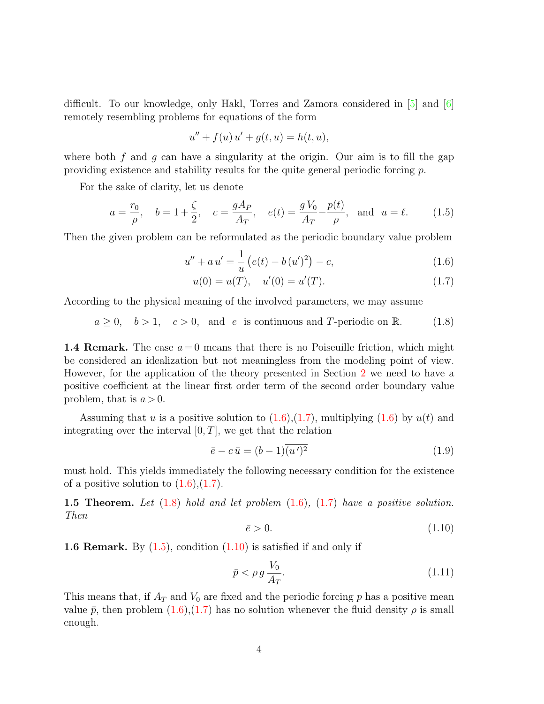difficult. To our knowledge, only Hakl, Torres and Zamora considered in [\[5\]](#page-13-2) and [\[6\]](#page-13-3) remotely resembling problems for equations of the form

$$
u'' + f(u) u' + g(t, u) = h(t, u),
$$

where both f and g can have a singularity at the origin. Our aim is to fill the gap providing existence and stability results for the quite general periodic forcing p.

For the sake of clarity, let us denote

<span id="page-3-3"></span>
$$
a = \frac{r_0}{\rho}
$$
,  $b = 1 + \frac{\zeta}{2}$ ,  $c = \frac{gA_P}{A_T}$ ,  $e(t) = \frac{gV_0}{A_T} - \frac{p(t)}{\rho}$ , and  $u = \ell$ . (1.5)

Then the given problem can be reformulated as the periodic boundary value problem

$$
u'' + a u' = \frac{1}{u} \left( e(t) - b (u')^{2} \right) - c, \qquad (1.6)
$$

<span id="page-3-1"></span><span id="page-3-0"></span>
$$
u(0) = u(T), \quad u'(0) = u'(T). \tag{1.7}
$$

According to the physical meaning of the involved parameters, we may assume

<span id="page-3-2"></span> $a \geq 0$ ,  $b > 1$ ,  $c > 0$ , and e is continuous and T-periodic on R. (1.8)

**1.4 Remark.** The case  $a = 0$  means that there is no Poiseuille friction, which might be considered an idealization but not meaningless from the modeling point of view. However, for the application of the theory presented in Section [2](#page-5-0) we need to have a positive coefficient at the linear first order term of the second order boundary value problem, that is  $a > 0$ .

Assuming that u is a positive solution to  $(1.6),(1.7)$  $(1.6),(1.7)$  $(1.6),(1.7)$ , multiplying  $(1.6)$  by  $u(t)$  and integrating over the interval  $[0, T]$ , we get that the relation

<span id="page-3-5"></span>
$$
\bar{e} - c\bar{u} = (b-1)\overline{(u')^2} \tag{1.9}
$$

must hold. This yields immediately the following necessary condition for the existence of a positive solution to  $(1.6)$ , $(1.7)$ .

**1.5 Theorem.** Let  $(1.8)$  hold and let problem  $(1.6)$ ,  $(1.7)$  have a positive solution. Then

<span id="page-3-4"></span>
$$
\bar{e} > 0. \tag{1.10}
$$

**1.6 Remark.** By  $(1.5)$ , condition  $(1.10)$  is satisfied if and only if

$$
\bar{p} < \rho \, g \, \frac{V_0}{A_T}.\tag{1.11}
$$

This means that, if  $A_T$  and  $V_0$  are fixed and the periodic forcing p has a positive mean value  $\bar{p}$ , then problem [\(1.6\)](#page-3-0),[\(1.7\)](#page-3-1) has no solution whenever the fluid density  $\rho$  is small enough.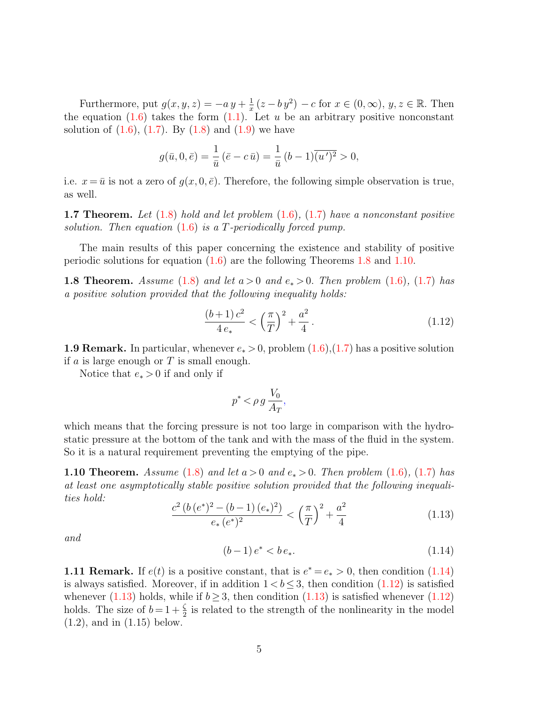Furthermore, put  $g(x, y, z) = -ay + \frac{1}{x}$  $\frac{1}{x}(z - by^2) - c$  for  $x \in (0, \infty), y, z \in \mathbb{R}$ . Then the equation  $(1.6)$  takes the form  $(1.1)$ . Let u be an arbitrary positive nonconstant solution of  $(1.6)$ ,  $(1.7)$ . By  $(1.8)$  and  $(1.9)$  we have

$$
g(\bar{u}, 0, \bar{e}) = \frac{1}{\bar{u}} (\bar{e} - c \bar{u}) = \frac{1}{\bar{u}} (b - 1) \overline{(u')^2} > 0,
$$

i.e.  $x = \bar{u}$  is not a zero of  $q(x, 0, \bar{e})$ . Therefore, the following simple observation is true, as well.

**1.7 Theorem.** Let  $(1.8)$  hold and let problem  $(1.6)$ ,  $(1.7)$  have a nonconstant positive solution. Then equation  $(1.6)$  is a T-periodically forced pump.

The main results of this paper concerning the existence and stability of positive periodic solutions for equation [\(1.6\)](#page-3-0) are the following Theorems [1.8](#page-4-0) and [1.10.](#page-4-1)

<span id="page-4-0"></span>**1.8 Theorem.** Assume [\(1.8\)](#page-3-2) and let  $a > 0$  and  $e_* > 0$ . Then problem [\(1.6\)](#page-3-0), [\(1.7\)](#page-3-1) has a positive solution provided that the following inequality holds:

<span id="page-4-3"></span>
$$
\frac{(b+1)c^2}{4\,e_*} < \left(\frac{\pi}{T}\right)^2 + \frac{a^2}{4} \,. \tag{1.12}
$$

**1.9 Remark.** In particular, whenever  $e_* > 0$ , problem  $(1.6)$ ,  $(1.7)$  has a positive solution if  $a$  is large enough or  $T$  is small enough.

Notice that  $e_* > 0$  if and only if

$$
p^* < \rho \, g \, \frac{V_0}{A_T},
$$

which means that the forcing pressure is not too large in comparison with the hydrostatic pressure at the bottom of the tank and with the mass of the fluid in the system. So it is a natural requirement preventing the emptying of the pipe.

<span id="page-4-1"></span>**1.10 Theorem.** Assume [\(1.8\)](#page-3-2) and let  $a > 0$  and  $e_* > 0$ . Then problem [\(1.6\)](#page-3-0), [\(1.7\)](#page-3-1) has at least one asymptotically stable positive solution provided that the following inequalities hold:

<span id="page-4-4"></span>
$$
\frac{c^2 (b (e^*)^2 - (b-1) (e_*)^2)}{e_* (e^*)^2} < \left(\frac{\pi}{T}\right)^2 + \frac{a^2}{4} \tag{1.13}
$$

and

<span id="page-4-2"></span>
$$
(b-1) e^* < b e_*.
$$
\n(1.14)

**1.11 Remark.** If  $e(t)$  is a positive constant, that is  $e^* = e_* > 0$ , then condition [\(1.14\)](#page-4-2) is always satisfied. Moreover, if in addition  $1 < b \leq 3$ , then condition  $(1.12)$  is satisfied whenever  $(1.13)$  holds, while if  $b > 3$ , then condition  $(1.13)$  is satisfied whenever  $(1.12)$ holds. The size of  $b = 1 + \frac{\zeta}{2}$  is related to the strength of the nonlinearity in the model (1.2), and in (1.15) below.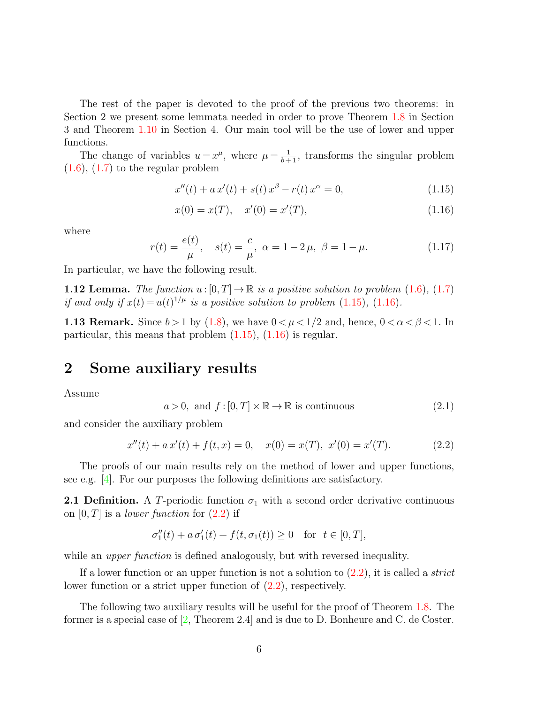The rest of the paper is devoted to the proof of the previous two theorems: in Section 2 we present some lemmata needed in order to prove Theorem [1.8](#page-4-0) in Section 3 and Theorem [1.10](#page-4-1) in Section 4. Our main tool will be the use of lower and upper functions.

The change of variables  $u = x^{\mu}$ , where  $\mu = \frac{1}{b+1}$ , transforms the singular problem  $(1.6), (1.7)$  $(1.6), (1.7)$  $(1.6), (1.7)$  to the regular problem

<span id="page-5-2"></span><span id="page-5-1"></span>
$$
x''(t) + a x'(t) + s(t) x^{\beta} - r(t) x^{\alpha} = 0,
$$
\n(1.15)

$$
x(0) = x(T), \quad x'(0) = x'(T), \tag{1.16}
$$

where

<span id="page-5-5"></span>
$$
r(t) = \frac{e(t)}{\mu}, \quad s(t) = \frac{c}{\mu}, \ \alpha = 1 - 2\mu, \ \beta = 1 - \mu.
$$
 (1.17)

In particular, we have the following result.

<span id="page-5-4"></span>**1.12 Lemma.** The function  $u:[0,T] \to \mathbb{R}$  is a positive solution to problem [\(1.6\)](#page-3-0), [\(1.7\)](#page-3-1) if and only if  $x(t) = u(t)^{1/\mu}$  is a positive solution to problem [\(1.15\)](#page-5-1), [\(1.16\)](#page-5-2).

<span id="page-5-6"></span>**1.13 Remark.** Since  $b > 1$  by [\(1.8\)](#page-3-2), we have  $0 < \mu < 1/2$  and, hence,  $0 < \alpha < \beta < 1$ . In particular, this means that problem  $(1.15)$ ,  $(1.16)$  is regular.

# <span id="page-5-0"></span>2 Some auxiliary results

Assume

$$
a > 0
$$
, and  $f: [0, T] \times \mathbb{R} \to \mathbb{R}$  is continuous (2.1)

and consider the auxiliary problem

<span id="page-5-3"></span>
$$
x''(t) + a x'(t) + f(t, x) = 0, \quad x(0) = x(T), \ x'(0) = x'(T). \tag{2.2}
$$

The proofs of our main results rely on the method of lower and upper functions, see e.g. [\[4\]](#page-13-4). For our purposes the following definitions are satisfactory.

**2.1 Definition.** A T-periodic function  $\sigma_1$  with a second order derivative continuous on  $[0, T]$  is a *lower function* for  $(2.2)$  if

$$
\sigma_1''(t) + a \sigma_1'(t) + f(t, \sigma_1(t)) \ge 0 \quad \text{for } t \in [0, T],
$$

while an *upper function* is defined analogously, but with reversed inequality.

If a lower function or an upper function is not a solution to  $(2.2)$ , it is called a *strict* lower function or a strict upper function of [\(2.2\)](#page-5-3), respectively.

The following two auxiliary results will be useful for the proof of Theorem [1.8.](#page-4-0) The former is a special case of  $[2,$  Theorem 2.4 and is due to D. Bonheure and C. de Coster.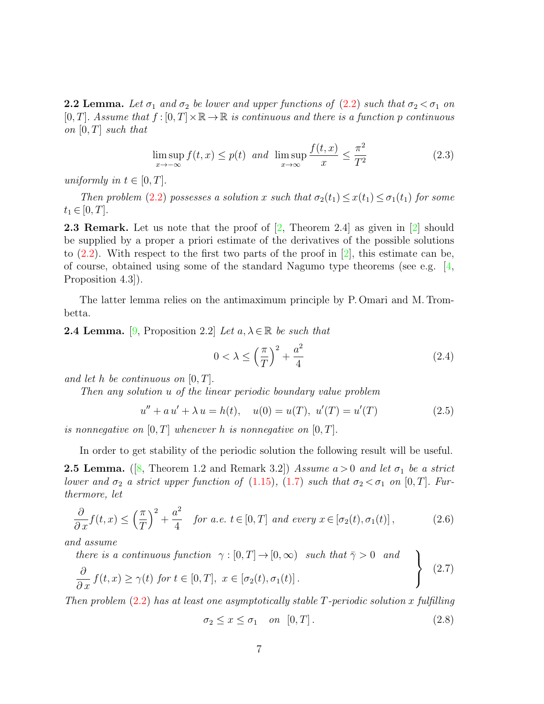<span id="page-6-0"></span>**2.2 Lemma.** Let  $\sigma_1$  and  $\sigma_2$  be lower and upper functions of [\(2.2\)](#page-5-3) such that  $\sigma_2 < \sigma_1$  on [0, T]. Assume that  $f : [0, T] \times \mathbb{R} \to \mathbb{R}$  is continuous and there is a function p continuous on  $[0, T]$  such that

$$
\limsup_{x \to -\infty} f(t, x) \le p(t) \quad \text{and} \quad \limsup_{x \to \infty} \frac{f(t, x)}{x} \le \frac{\pi^2}{T^2}
$$
\n
$$
(2.3)
$$

uniformly in  $t \in [0, T]$ .

Then problem [\(2.2\)](#page-5-3) possesses a solution x such that  $\sigma_2(t_1) \leq x(t_1) \leq \sigma_1(t_1)$  for some  $t_1 \in [0, T].$ 

**2.3 Remark.** Let us note that the proof of  $[2,$  Theorem 2.4 as given in  $[2]$  should be supplied by a proper a priori estimate of the derivatives of the possible solutions to  $(2.2)$ . With respect to the first two parts of the proof in [\[2\]](#page-12-2), this estimate can be, of course, obtained using some of the standard Nagumo type theorems (see e.g.  $[4,$ Proposition 4.3.

The latter lemma relies on the antimaximum principle by P. Omari and M. Trombetta.

<span id="page-6-1"></span>**2.4 Lemma.** [\[9,](#page-13-5) Proposition 2.2] Let  $a, \lambda \in \mathbb{R}$  be such that

$$
0 < \lambda \le \left(\frac{\pi}{T}\right)^2 + \frac{a^2}{4} \tag{2.4}
$$

and let h be continuous on  $[0, T]$ .

Then any solution u of the linear periodic boundary value problem

$$
u'' + a u' + \lambda u = h(t), \quad u(0) = u(T), \ u'(T) = u'(T) \tag{2.5}
$$

is nonnegative on  $[0, T]$  whenever h is nonnegative on  $[0, T]$ .

In order to get stability of the periodic solution the following result will be useful.

<span id="page-6-3"></span>**2.5 Lemma.** ([\[8,](#page-13-6) Theorem 1.2 and Remark 3.2]) Assume  $a > 0$  and let  $\sigma_1$  be a strict lower and  $\sigma_2$  a strict upper function of [\(1.15\)](#page-5-1), [\(1.7\)](#page-3-1) such that  $\sigma_2 < \sigma_1$  on [0, T]. Furthermore, let

$$
\frac{\partial}{\partial x}f(t,x) \le \left(\frac{\pi}{T}\right)^2 + \frac{a^2}{4} \quad \text{for a.e. } t \in [0,T] \text{ and every } x \in [\sigma_2(t), \sigma_1(t)],\tag{2.6}
$$

and assume

there is a continuous function  $\gamma : [0, T] \to [0, \infty)$  such that  $\bar{\gamma} > 0$  and  $\mathcal{L}$  $\mathcal{L}$ 

$$
\frac{\partial}{\partial x} f(t, x) \ge \gamma(t) \text{ for } t \in [0, T], \ x \in [\sigma_2(t), \sigma_1(t)]. \tag{2.7}
$$

Then problem  $(2.2)$  has at least one asymptotically stable T-periodic solution x fulfilling

<span id="page-6-4"></span><span id="page-6-2"></span>
$$
\sigma_2 \le x \le \sigma_1 \quad on \quad [0, T]. \tag{2.8}
$$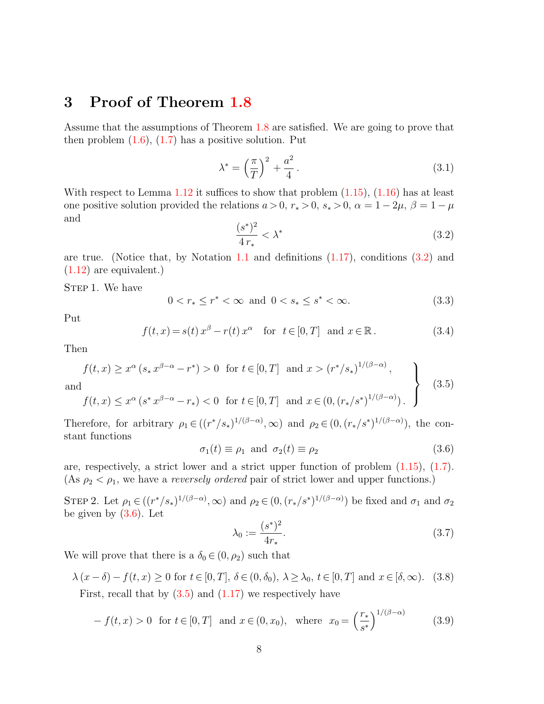# <span id="page-7-8"></span>3 Proof of Theorem [1.8](#page-4-0)

Assume that the assumptions of Theorem [1.8](#page-4-0) are satisfied. We are going to prove that then problem  $(1.6)$ ,  $(1.7)$  has a positive solution. Put

<span id="page-7-5"></span>
$$
\lambda^* = \left(\frac{\pi}{T}\right)^2 + \frac{a^2}{4} \,. \tag{3.1}
$$

With respect to Lemma [1.12](#page-5-4) it suffices to show that problem  $(1.15)$ ,  $(1.16)$  has at least one positive solution provided the relations  $a > 0$ ,  $r_* > 0$ ,  $s_* > 0$ ,  $\alpha = 1 - 2\mu$ ,  $\beta = 1 - \mu$ and

<span id="page-7-0"></span>
$$
\frac{(s^*)^2}{4\,r_*} < \lambda^* \tag{3.2}
$$

are true. (Notice that, by Notation [1.1](#page-1-2) and definitions  $(1.17)$ , conditions  $(3.2)$  and [\(1.12\)](#page-4-3) are equivalent.)

STEP 1. We have

$$
0 < r_* \le r^* < \infty \text{ and } 0 < s_* \le s^* < \infty. \tag{3.3}
$$

Put

<span id="page-7-6"></span>
$$
f(t,x) = s(t) x^{\beta} - r(t) x^{\alpha} \quad \text{for } t \in [0,T] \text{ and } x \in \mathbb{R}.
$$
 (3.4)

Then

<span id="page-7-2"></span>
$$
f(t,x) \ge x^{\alpha} (s_* x^{\beta-\alpha} - r^*) > 0 \text{ for } t \in [0,T] \text{ and } x > (r^*/s_*)^{1/(\beta-\alpha)},
$$
  
and  

$$
f(t,x) \le x^{\alpha} (s^* x^{\beta-\alpha} - r_*) < 0 \text{ for } t \in [0,T] \text{ and } x \in (0, (r_*/s^*)^{1/(\beta-\alpha)})
$$
 (3.5)

Therefore, for arbitrary  $\rho_1 \in ((r^*/s_*)^{1/(\beta-\alpha)}, \infty)$  and  $\rho_2 \in (0, (r_*/s^*)^{1/(\beta-\alpha)})$ , the constant functions

<span id="page-7-1"></span>
$$
\sigma_1(t) \equiv \rho_1 \text{ and } \sigma_2(t) \equiv \rho_2 \tag{3.6}
$$

are, respectively, a strict lower and a strict upper function of problem [\(1.15\)](#page-5-1), [\(1.7\)](#page-3-1). (As  $\rho_2 < \rho_1$ , we have a *reversely ordered* pair of strict lower and upper functions.)

STEP 2. Let  $\rho_1 \in ((r^*/s_*)^{1/(\beta-\alpha)}, \infty)$  and  $\rho_2 \in (0, (r_*/s^*)^{1/(\beta-\alpha)})$  be fixed and  $\sigma_1$  and  $\sigma_2$ be given by [\(3.6\)](#page-7-1). Let

<span id="page-7-7"></span>
$$
\lambda_0 := \frac{(s^*)^2}{4r_*}.
$$
\n(3.7)

We will prove that there is a  $\delta_0 \in (0, \rho_2)$  such that

<span id="page-7-4"></span>
$$
\lambda(x - \delta) - f(t, x) \ge 0 \text{ for } t \in [0, T], \delta \in (0, \delta_0), \lambda \ge \lambda_0, t \in [0, T] \text{ and } x \in [\delta, \infty). \tag{3.8}
$$

First, recall that by  $(3.5)$  and  $(1.17)$  we respectively have

<span id="page-7-3"></span>
$$
-f(t, x) > 0 \text{ for } t \in [0, T] \text{ and } x \in (0, x_0), \text{ where } x_0 = \left(\frac{r_*}{s^*}\right)^{1/(\beta - \alpha)} \tag{3.9}
$$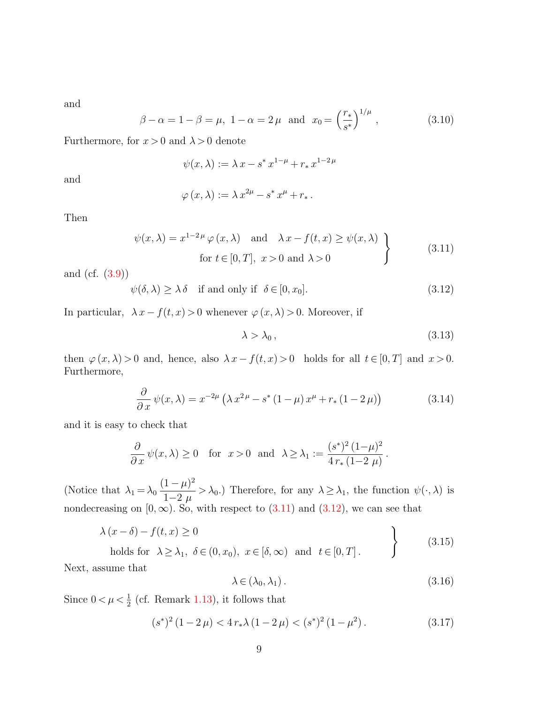and

$$
\beta - \alpha = 1 - \beta = \mu, \ 1 - \alpha = 2 \mu \text{ and } x_0 = \left(\frac{r_*}{s^*}\right)^{1/\mu},
$$
\n(3.10)

Furthermore, for  $x > 0$  and  $\lambda > 0$  denote

$$
\psi(x,\lambda) := \lambda \, x - s^* \, x^{1-\mu} + r_* \, x^{1-2\,\mu}
$$

and

$$
\varphi(x,\lambda) := \lambda x^{2\mu} - s^* x^{\mu} + r_*.
$$

Then

$$
\psi(x,\lambda) = x^{1-2\mu} \varphi(x,\lambda) \quad \text{and} \quad \lambda x - f(t,x) \ge \psi(x,\lambda)
$$
  
for  $t \in [0,T], x > 0 \text{ and } \lambda > 0$  (3.11)

and (cf. [\(3.9\)](#page-7-3))

$$
\psi(\delta,\lambda) \ge \lambda \delta \quad \text{if and only if} \quad \delta \in [0, x_0]. \tag{3.12}
$$

In particular,  $\lambda x - f(t, x) > 0$  whenever  $\varphi(x, \lambda) > 0$ . Moreover, if

<span id="page-8-1"></span><span id="page-8-0"></span>
$$
\lambda > \lambda_0, \tag{3.13}
$$

then  $\varphi(x, \lambda) > 0$  and, hence, also  $\lambda x - f(t, x) > 0$  holds for all  $t \in [0, T]$  and  $x > 0$ . Furthermore,

<span id="page-8-2"></span>
$$
\frac{\partial}{\partial x}\psi(x,\lambda) = x^{-2\mu}\left(\lambda x^{2\mu} - s^*\left(1 - \mu\right)x^{\mu} + r_*\left(1 - 2\mu\right)\right) \tag{3.14}
$$

and it is easy to check that

$$
\frac{\partial}{\partial x}\,\psi(x,\lambda) \ge 0 \quad \text{for} \ \ x>0 \ \text{ and } \ \lambda \ge \lambda_1 := \frac{(s^*)^2\,(1-\mu)^2}{4\,r_*\,(1-2\,\mu)}\,.
$$

(Notice that  $\lambda_1 = \lambda_0$  $(1 - \mu)^2$  $\frac{1-\mu_j}{1-2\mu} > \lambda_0$ .) Therefore, for any  $\lambda \geq \lambda_1$ , the function  $\psi(\cdot, \lambda)$  is nondecreasing on  $[0, \infty)$ . So, with respect to  $(3.11)$  and  $(3.12)$ , we can see that

<span id="page-8-4"></span>
$$
\lambda (x - \delta) - f(t, x) \ge 0
$$
  
holds for  $\lambda \ge \lambda_1$ ,  $\delta \in (0, x_0)$ ,  $x \in [\delta, \infty)$  and  $t \in [0, T]$ . (3.15)

Next, assume that

$$
\lambda \in (\lambda_0, \lambda_1). \tag{3.16}
$$

Since  $0 < \mu < \frac{1}{2}$  (cf. Remark [1.13\)](#page-5-6), it follows that

<span id="page-8-3"></span>
$$
(s^*)^2 (1 - 2\mu) < 4\,r_*\lambda \left(1 - 2\,\mu\right) < (s^*)^2 \left(1 - \mu^2\right). \tag{3.17}
$$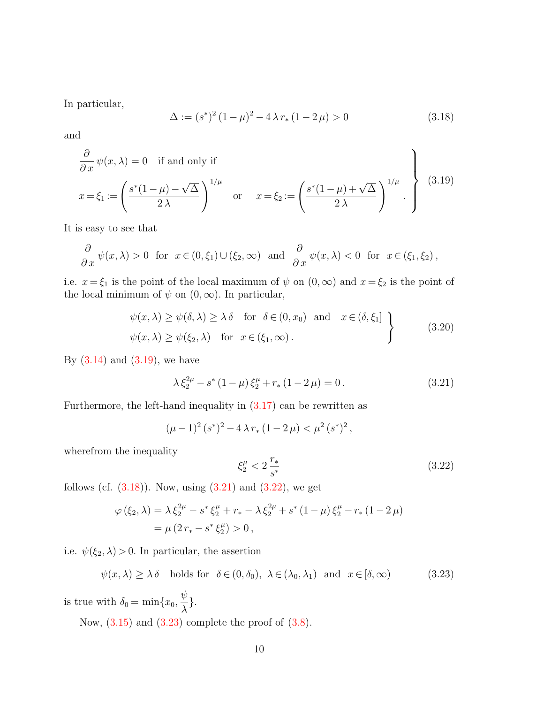In particular,

<span id="page-9-1"></span>
$$
\Delta := (s^*)^2 (1 - \mu)^2 - 4 \lambda r_* (1 - 2 \mu) > 0
$$
\n(3.18)

and

<span id="page-9-0"></span>
$$
\frac{\partial}{\partial x} \psi(x, \lambda) = 0 \quad \text{if and only if}
$$
\n
$$
x = \xi_1 := \left( \frac{s^*(1-\mu) - \sqrt{\Delta}}{2\lambda} \right)^{1/\mu} \quad \text{or} \quad x = \xi_2 := \left( \frac{s^*(1-\mu) + \sqrt{\Delta}}{2\lambda} \right)^{1/\mu} .
$$
\n(3.19)

It is easy to see that

$$
\frac{\partial}{\partial x}\psi(x,\lambda) > 0 \text{ for } x \in (0,\xi_1) \cup (\xi_2,\infty) \text{ and } \frac{\partial}{\partial x}\psi(x,\lambda) < 0 \text{ for } x \in (\xi_1,\xi_2),
$$

i.e.  $x = \xi_1$  is the point of the local maximum of  $\psi$  on  $(0, \infty)$  and  $x = \xi_2$  is the point of the local minimum of  $\psi$  on  $(0, \infty)$ . In particular,

$$
\psi(x,\lambda) \ge \psi(\delta,\lambda) \ge \lambda \delta \quad \text{for } \delta \in (0,x_0) \text{ and } x \in (\delta,\xi_1] \\
\psi(x,\lambda) \ge \psi(\xi_2,\lambda) \quad \text{for } x \in (\xi_1,\infty).
$$
\n(3.20)

By  $(3.14)$  and  $(3.19)$ , we have

<span id="page-9-2"></span>
$$
\lambda \xi_2^{2\mu} - s^* (1 - \mu) \xi_2^{\mu} + r_* (1 - 2 \mu) = 0.
$$
 (3.21)

Furthermore, the left-hand inequality in  $(3.17)$  can be rewritten as

$$
(\mu - 1)^2 (s^*)^2 - 4\lambda r_* (1 - 2\mu) < \mu^2 (s^*)^2,
$$

wherefrom the inequality

<span id="page-9-3"></span>
$$
\xi_2^{\mu} < 2 \frac{r_*}{s^*} \tag{3.22}
$$

follows (cf.  $(3.18)$ ). Now, using  $(3.21)$  and  $(3.22)$ , we get

$$
\varphi(\xi_2, \lambda) = \lambda \xi_2^{2\mu} - s^* \xi_2^{\mu} + r_* - \lambda \xi_2^{2\mu} + s^* (1 - \mu) \xi_2^{\mu} - r_* (1 - 2 \mu)
$$
  
=  $\mu (2r_* - s^* \xi_2^{\mu}) > 0$ ,

i.e.  $\psi(\xi_2,\lambda)>0.$  In particular, the assertion

<span id="page-9-4"></span>
$$
\psi(x,\lambda) \ge \lambda \delta \quad \text{holds for} \quad \delta \in (0,\delta_0), \ \lambda \in (\lambda_0,\lambda_1) \quad \text{and} \quad x \in [\delta,\infty)
$$
 (3.23)

is true with  $\delta_0 = \min\{x_0, \frac{\psi}{\lambda}\}$ λ }.

Now,  $(3.15)$  and  $(3.23)$  complete the proof of  $(3.8)$ .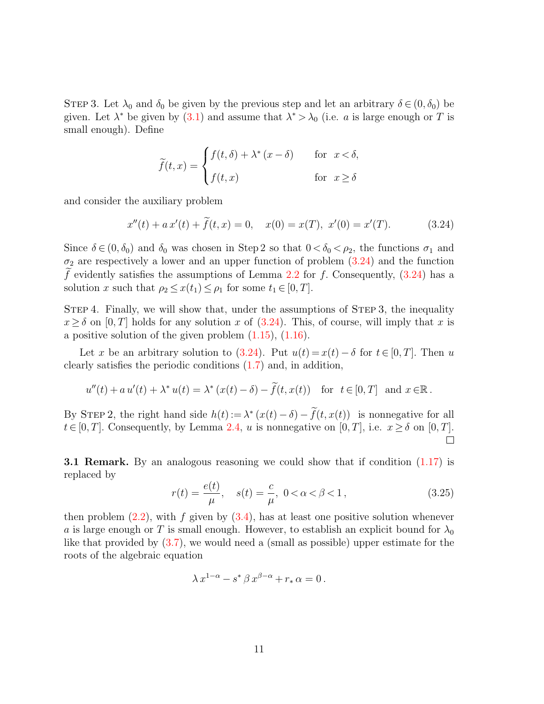STEP 3. Let  $\lambda_0$  and  $\delta_0$  be given by the previous step and let an arbitrary  $\delta \in (0, \delta_0)$  be given. Let  $\lambda^*$  be given by [\(3.1\)](#page-7-5) and assume that  $\lambda^* > \lambda_0$  (i.e. a is large enough or T is small enough). Define

$$
\widetilde{f}(t,x) = \begin{cases} f(t,\delta) + \lambda^* (x - \delta) & \text{for } x < \delta, \\ f(t,x) & \text{for } x \ge \delta \end{cases}
$$

and consider the auxiliary problem

<span id="page-10-0"></span>
$$
x''(t) + a x'(t) + \tilde{f}(t, x) = 0, \quad x(0) = x(T), \ x'(0) = x'(T). \tag{3.24}
$$

Since  $\delta \in (0, \delta_0)$  and  $\delta_0$  was chosen in Step 2 so that  $0 < \delta_0 < \rho_2$ , the functions  $\sigma_1$  and  $\sigma_2$  are respectively a lower and an upper function of problem  $(3.24)$  and the function f evidently satisfies the assumptions of Lemma [2.2](#page-6-0) for f. Consequently,  $(3.24)$  has a solution x such that  $\rho_2 \leq x(t_1) \leq \rho_1$  for some  $t_1 \in [0, T]$ .

Step 4. Finally, we will show that, under the assumptions of Step 3, the inequality  $x \ge \delta$  on [0, T] holds for any solution x of [\(3.24\)](#page-10-0). This, of course, will imply that x is a positive solution of the given problem [\(1.15\)](#page-5-1), [\(1.16\)](#page-5-2).

Let x be an arbitrary solution to [\(3.24\)](#page-10-0). Put  $u(t) = x(t) - \delta$  for  $t \in [0, T]$ . Then u clearly satisfies the periodic conditions [\(1.7\)](#page-3-1) and, in addition,

$$
u''(t) + a u'(t) + \lambda^* u(t) = \lambda^* (x(t) - \delta) - \widetilde{f}(t, x(t)) \quad \text{for } t \in [0, T] \text{ and } x \in \mathbb{R}.
$$

By STEP 2, the right hand side  $h(t) := \lambda^* (x(t) - \delta) - \tilde{f}(t, x(t))$  is nonnegative for all  $t \in [0, T]$ . Consequently, by Lemma [2.4,](#page-6-1) u is nonnegative on  $[0, T]$ , i.e.  $x \ge \delta$  on  $[0, T]$ .  $\Box$ 

**3.1 Remark.** By an analogous reasoning we could show that if condition  $(1.17)$  is replaced by

$$
r(t) = \frac{e(t)}{\mu}, \quad s(t) = \frac{c}{\mu}, \ 0 < \alpha < \beta < 1, \tag{3.25}
$$

then problem  $(2.2)$ , with f given by  $(3.4)$ , has at least one positive solution whenever a is large enough or T is small enough. However, to establish an explicit bound for  $\lambda_0$ like that provided by [\(3.7\)](#page-7-7), we would need a (small as possible) upper estimate for the roots of the algebraic equation

$$
\lambda x^{1-\alpha} - s^* \beta x^{\beta-\alpha} + r_* \alpha = 0.
$$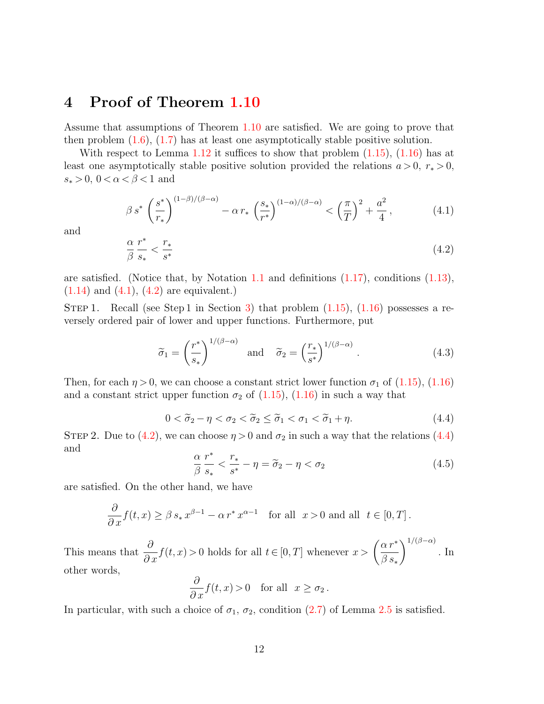## 4 Proof of Theorem [1.10](#page-4-1)

Assume that assumptions of Theorem [1.10](#page-4-1) are satisfied. We are going to prove that then problem  $(1.6)$ ,  $(1.7)$  has at least one asymptotically stable positive solution.

With respect to Lemma [1.12](#page-5-4) it suffices to show that problem  $(1.15)$ ,  $(1.16)$  has at least one asymptotically stable positive solution provided the relations  $a > 0$ ,  $r_* > 0$ ,  $s_* > 0, 0 < \alpha < \beta < 1$  and

<span id="page-11-0"></span>
$$
\beta s^* \left(\frac{s^*}{r_*}\right)^{(1-\beta)/(\beta-\alpha)} - \alpha r_* \left(\frac{s_*}{r^*}\right)^{(1-\alpha)/(\beta-\alpha)} < \left(\frac{\pi}{T}\right)^2 + \frac{a^2}{4},\tag{4.1}
$$

and

$$
\frac{\alpha}{\beta} \frac{r^*}{s_*} < \frac{r_*}{s^*} \tag{4.2}
$$

are satisfied. (Notice that, by Notation [1.1](#page-1-2) and definitions  $(1.17)$ , conditions  $(1.13)$ ,  $(1.14)$  and  $(4.1)$ ,  $(4.2)$  are equivalent.)

STEP 1. Recall (see Step 1 in Section [3\)](#page-7-8) that problem  $(1.15)$ ,  $(1.16)$  possesses a reversely ordered pair of lower and upper functions. Furthermore, put

<span id="page-11-4"></span><span id="page-11-1"></span>
$$
\widetilde{\sigma}_1 = \left(\frac{r^*}{s_*}\right)^{1/(\beta - \alpha)} \quad \text{and} \quad \widetilde{\sigma}_2 = \left(\frac{r_*}{s^*}\right)^{1/(\beta - \alpha)}.
$$
\n(4.3)

Then, for each  $\eta > 0$ , we can choose a constant strict lower function  $\sigma_1$  of [\(1.15\)](#page-5-1), [\(1.16\)](#page-5-2) and a constant strict upper function  $\sigma_2$  of  $(1.15)$ ,  $(1.16)$  in such a way that

<span id="page-11-2"></span>
$$
0 < \tilde{\sigma}_2 - \eta < \sigma_2 < \tilde{\sigma}_2 \le \tilde{\sigma}_1 < \sigma_1 < \tilde{\sigma}_1 + \eta. \tag{4.4}
$$

STEP 2. Due to [\(4.2\)](#page-11-1), we can choose  $\eta > 0$  and  $\sigma_2$  in such a way that the relations [\(4.4\)](#page-11-2) and

<span id="page-11-3"></span>
$$
\frac{\alpha}{\beta} \frac{r^*}{s_*} < \frac{r_*}{s^*} - \eta = \widetilde{\sigma}_2 - \eta < \sigma_2 \tag{4.5}
$$

are satisfied. On the other hand, we have

$$
\frac{\partial}{\partial x} f(t, x) \ge \beta s_* x^{\beta - 1} - \alpha r^* x^{\alpha - 1} \quad \text{for all} \ \ x > 0 \text{ and all} \ \ t \in [0, T].
$$

This means that  $\frac{\partial}{\partial x} f(t, x) > 0$  holds for all  $t \in [0, T]$  whenever  $x > \left(\frac{\alpha r^*}{\beta s_*}\right)$  $\beta s_*$  $\lambda^{1/(\beta-\alpha)}$ . In other words,

$$
\frac{\partial}{\partial x}f(t,x) > 0 \quad \text{for all} \ \ x \ge \sigma_2 \, .
$$

In particular, with such a choice of  $\sigma_1$ ,  $\sigma_2$ , condition [\(2.7\)](#page-6-2) of Lemma [2.5](#page-6-3) is satisfied.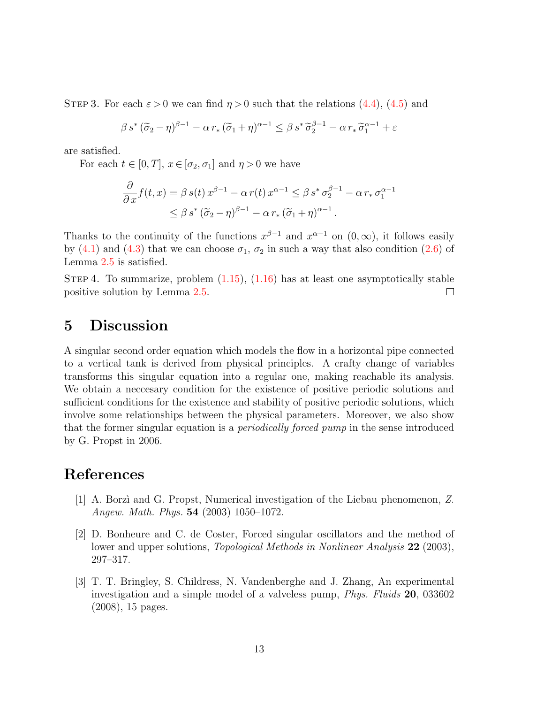STEP 3. For each  $\varepsilon > 0$  we can find  $\eta > 0$  such that the relations [\(4.4\)](#page-11-2), [\(4.5\)](#page-11-3) and

$$
\beta s^* (\widetilde{\sigma}_2 - \eta)^{\beta - 1} - \alpha r_* (\widetilde{\sigma}_1 + \eta)^{\alpha - 1} \leq \beta s^* \widetilde{\sigma}_2^{\beta - 1} - \alpha r_* \widetilde{\sigma}_1^{\alpha - 1} + \varepsilon
$$

are satisfied.

For each  $t \in [0, T]$ ,  $x \in [\sigma_2, \sigma_1]$  and  $\eta > 0$  we have

$$
\frac{\partial}{\partial x} f(t, x) = \beta s(t) x^{\beta - 1} - \alpha r(t) x^{\alpha - 1} \le \beta s^* \sigma_2^{\beta - 1} - \alpha r_* \sigma_1^{\alpha - 1}
$$
  

$$
\le \beta s^* (\tilde{\sigma}_2 - \eta)^{\beta - 1} - \alpha r_* (\tilde{\sigma}_1 + \eta)^{\alpha - 1}.
$$

Thanks to the continuity of the functions  $x^{\beta-1}$  and  $x^{\alpha-1}$  on  $(0, \infty)$ , it follows easily by [\(4.1\)](#page-11-0) and [\(4.3\)](#page-11-4) that we can choose  $\sigma_1$ ,  $\sigma_2$  in such a way that also condition [\(2.6\)](#page-6-4) of Lemma [2.5](#page-6-3) is satisfied.

STEP 4. To summarize, problem  $(1.15)$ ,  $(1.16)$  has at least one asymptotically stable positive solution by Lemma [2.5.](#page-6-3)  $\Box$ 

## 5 Discussion

A singular second order equation which models the flow in a horizontal pipe connected to a vertical tank is derived from physical principles. A crafty change of variables transforms this singular equation into a regular one, making reachable its analysis. We obtain a neccesary condition for the existence of positive periodic solutions and sufficient conditions for the existence and stability of positive periodic solutions, which involve some relationships between the physical parameters. Moreover, we also show that the former singular equation is a *periodically forced pump* in the sense introduced by G. Propst in 2006.

#### References

- <span id="page-12-0"></span>[1] A. Borz`ı and G. Propst, Numerical investigation of the Liebau phenomenon, Z. Angew. Math. Phys. 54 (2003) 1050–1072.
- <span id="page-12-2"></span>[2] D. Bonheure and C. de Coster, Forced singular oscillators and the method of lower and upper solutions, *Topological Methods in Nonlinear Analysis* 22 (2003), 297–317.
- <span id="page-12-1"></span>[3] T. T. Bringley, S. Childress, N. Vandenberghe and J. Zhang, An experimental investigation and a simple model of a valveless pump, Phys. Fluids 20, 033602 (2008), 15 pages.